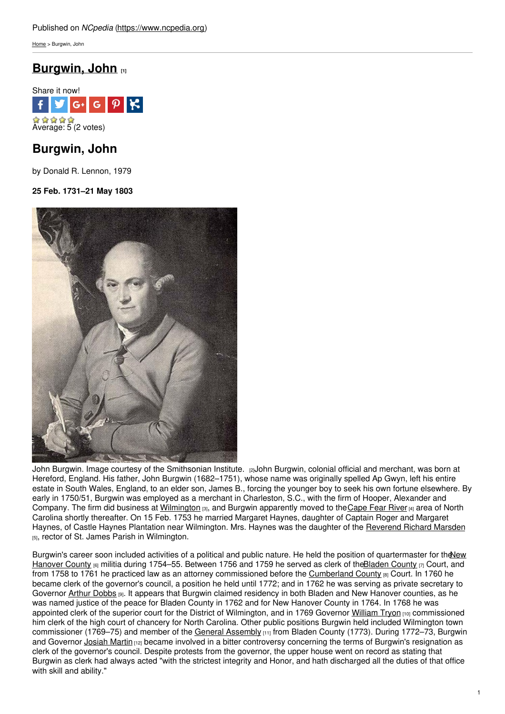[Home](https://www.ncpedia.org/) > Burgwin, John

# **[Burgwin,](https://www.ncpedia.org/biography/burgwin-john) John [1]**



# **Burgwin, John**

by Donald R. Lennon, 1979

## **25 Feb. 1731–21 May 1803**



John Burgwin. Image courtesy of the [Smithsonian](http://collections.si.edu/search/record/siris_ari_178677) Institute. [2] John Burgwin, colonial official and merchant, was born at Hereford, England. His father, John Burgwin (1682–1751), whose name was originally spelled Ap Gwyn, left his entire estate in South Wales, England, to an elder son, James B., forcing the younger boy to seek his own fortune elsewhere. By early in 1750/51, Burgwin was employed as a merchant in Charleston, S.C., with the firm of Hooper, Alexander and Company. The firm did business at [Wilmington](https://www.ncpedia.org/geography/wilmington) [3], and Burgwin apparently moved to the [Cape](https://www.ncpedia.org/rivers/cape-fear) Fear River [4] area of North Carolina shortly thereafter. On 15 Feb. 1753 he married Margaret Haynes, daughter of Captain Roger and Margaret Haynes, of Castle Haynes Plantation near Wilmington. Mrs. Haynes was the daughter of the [Reverend](https://www.ncpedia.org/biography/marsden-richard) Richard Marsden [5], rector of St. James Parish in Wilmington.

Burgwin's career soon included activities of a political and public nature. He held the position of [quartermaster](https://www.ncpedia.org/geography/new-hanover) for theNew Hanover County  $_{6}$  militia during 1754–55. Between 1756 and 1759 he served as clerk of th[eBladen](https://www.ncpedia.org/geography/bladen) County  $_{[7]}$  Court, and from 1758 to 1761 he practiced law as an attorney commissioned before the [Cumberland](https://www.ncpedia.org/geography/cumberland) County [8] Court. In 1760 he became clerk of the governor's council, a position he held until 1772; and in 1762 he was serving as private secretary to Governor Arthur [Dobbs](https://www.ncpedia.org/biography/dobbs-arthur) [9]. It appears that Burgwin claimed residency in both Bladen and New Hanover counties, as he was named justice of the peace for Bladen County in 1762 and for New Hanover County in 1764. In 1768 he was appointed clerk of the superior court for the District of Wilmington, and in 1769 Governor [William](https://www.ncpedia.org/biography/tryon-william) Tryon [10] commissioned him clerk of the high court of chancery for North Carolina. Other public positions Burgwin held included Wilmington town commissioner (1769–75) and member of the General [Assembly](https://www.ncpedia.org/general-assembly) [11] from Bladen County (1773). During 1772–73, Burgwin and Governor [Josiah](https://www.ncpedia.org/biography/martin-josiah) Martin [12] became involved in a bitter controversy concerning the terms of Burgwin's resignation as clerk of the governor's council. Despite protests from the governor, the upper house went on record as stating that Burgwin as clerk had always acted "with the strictest integrity and Honor, and hath discharged all the duties of that office with skill and ability."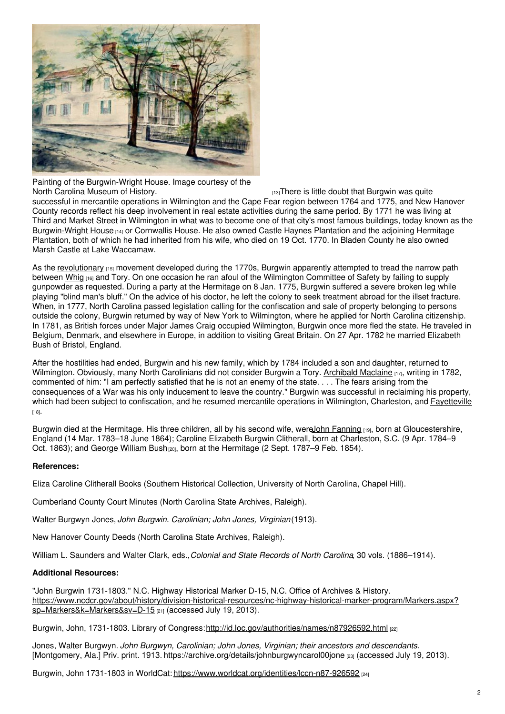

Painting of the Burgwin-Wright House. Image courtesy of the

 $H<sub>13</sub>$ There is little doubt that Burgwin was quite successful in mercantile operations in Wilmington and the Cape Fear region between 1764 and 1775, and New Hanover County records reflect his deep involvement in real estate activities during the same period. By 1771 he was living at Third and Market Street in Wilmington in what was to become one of that city's most famous buildings, today known as the [Burgwin-Wright](http://www.burgwinwrighthouse.com/) House [14] or Cornwallis House. He also owned Castle Haynes Plantation and the adjoining Hermitage Plantation, both of which he had inherited from his wife, who died on 19 Oct. 1770. In Bladen County he also owned Marsh Castle at Lake Waccamaw.

As the [revolutionary](https://www.ncpedia.org/american-revolution) [15] movement developed during the 1770s, Burgwin apparently attempted to tread the narrow path between [Whig](https://www.ncpedia.org/whig-party) [16] and Tory. On one occasion he ran afoul of the Wilmington Committee of Safety by failing to supply gunpowder as requested. During a party at the Hermitage on 8 Jan. 1775, Burgwin suffered a severe broken leg while playing "blind man's bluff." On the advice of his doctor, he left the colony to seek treatment abroad for the illset fracture. When, in 1777, North Carolina passed legislation calling for the confiscation and sale of property belonging to persons outside the colony, Burgwin returned by way of New York to Wilmington, where he applied for North Carolina citizenship. In 1781, as British forces under Major James Craig occupied Wilmington, Burgwin once more fled the state. He traveled in Belgium, Denmark, and elsewhere in Europe, in addition to visiting Great Britain. On 27 Apr. 1782 he married Elizabeth Bush of Bristol, England.

After the hostilities had ended, Burgwin and his new family, which by 1784 included a son and daughter, returned to Wilmington. Obviously, many North Carolinians did not consider Burgwin a Tory. [Archibald](https://www.ncpedia.org/biography/maclaine-archibald) Maclaine [17], writing in 1782, commented of him: "I am perfectly satisfied that he is not an enemy of the state. . . . The fears arising from the consequences of a War was his only inducement to leave the country." Burgwin was successful in reclaiming his property, which had been subject to confiscation, and he resumed mercantile operations in Wilmington, Charleston, and **[Fayetteville](https://www.ncpedia.org/fayetteville-0)** [18].

Burgwin died at the Hermitage. His three children, all by his second wife, wereJohn [Fanning](https://www.ncpedia.org/biography/burgwyn-john-fanning) [19], born at Gloucestershire, England (14 Mar. 1783–18 June 1864); Caroline Elizabeth Burgwin Clitherall, born at Charleston, S.C. (9 Apr. 1784–9 Oct. 1863); and [George](https://www.ncpedia.org/biography/burgwin-george-william) William Bush [20], born at the Hermitage (2 Sept. 1787–9 Feb. 1854).

### **References:**

Eliza Caroline Clitherall Books (Southern Historical Collection, University of North Carolina, Chapel Hill).

Cumberland County Court Minutes (North Carolina State Archives, Raleigh).

Walter Burgwyn Jones, *John Burgwin. Carolinian; John Jones, Virginian*(1913).

New Hanover County Deeds (North Carolina State Archives, Raleigh).

William L. Saunders and Walter Clark, eds.,*Colonial and State Records of North Carolina*, 30 vols. (1886–1914).

### **Additional Resources:**

"John Burgwin 1731-1803." N.C. Highway Historical Marker D-15, N.C. Office of Archives & History. [https://www.ncdcr.gov/about/history/division-historical-resources/nc-highway-historical-marker-program/Markers.aspx?](https://www.ncdcr.gov/about/history/division-historical-resources/nc-highway-historical-marker-program/Markers.aspx?sp=Markers&k=Markers&sv=D-15) sp=Markers&k=Markers&sv=D-15 [21] (accessed July 19, 2013).

Burgwin, John, 1731-1803. Library of Congress: <http://id.loc.gov/authorities/names/n87926592.html> [22]

Jones, Walter Burgwyn. *John Burgwyn, Carolinian; John Jones, Virginian; their ancestors and descendants.* [Montgomery, Ala.] Priv. print. 1913. <https://archive.org/details/johnburgwyncarol00jone> [23] (accessed July 19, 2013).

Burgwin, John 1731-1803 in WorldCat: <https://www.worldcat.org/identities/lccn-n87-926592> [24]